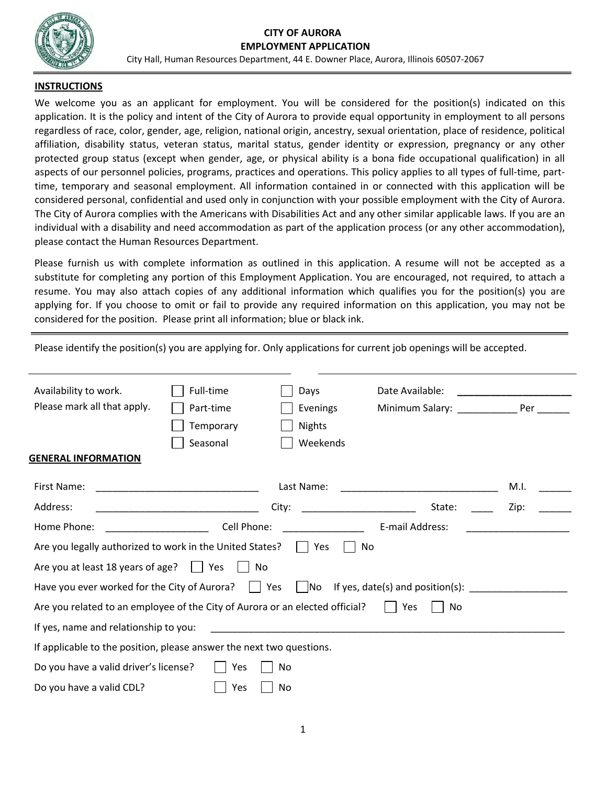#### **CITY OF AURORA EMPLOYMENT APPLICATION**



City Hall, Human Resources Department, 44 E. Downer Place, Aurora, Illinois 60507-2067

## **INSTRUCTIONS**

We welcome you as an applicant for employment. You will be considered for the position(s) indicated on this application. It is the policy and intent of the City of Aurora to provide equal opportunity in employment to all persons regardless of race, color, gender, age, religion, national origin, ancestry, sexual orientation, place of residence, political affiliation, disability status, veteran status, marital status, gender identity or expression, pregnancy or any other protected group status (except when gender, age, or physical ability is a bona fide occupational qualification) in all aspects of our personnel policies, programs, practices and operations. This policy applies to all types of full-time, parttime, temporary and seasonal employment. All information contained in or connected with this application will be considered personal, confidential and used only in conjunction with your possible employment with the City of Aurora. The City of Aurora complies with the Americans with Disabilities Act and any other similar applicable laws. If you are an individual with a disability and need accommodation as part of the application process (or any other accommodation), please contact the Human Resources Department.

Please furnish us with complete information as outlined in this application. A resume will not be accepted as a substitute for completing any portion of this Employment Application. You are encouraged, not required, to attach a resume. You may also attach copies of any additional information which qualifies you for the position(s) you are applying for. If you choose to omit or fail to provide any required information on this application, you may not be considered for the position. Please print all information; blue or black ink.

Please identify the position(s) you are applying for. Only applications for current job openings will be accepted.

| Availability to work.<br>Please mark all that apply.                                      | Full-time<br>Part-time<br>Temporary<br>Seasonal | Days<br>Evenings<br><b>Nights</b><br>Weekends | Date Available:<br>Minimum Salary: Per |      |  |  |  |
|-------------------------------------------------------------------------------------------|-------------------------------------------------|-----------------------------------------------|----------------------------------------|------|--|--|--|
| <b>GENERAL INFORMATION</b>                                                                |                                                 |                                               |                                        |      |  |  |  |
| First Name:                                                                               |                                                 | Last Name:                                    |                                        | M.I. |  |  |  |
| Address:                                                                                  |                                                 | City:                                         | State:                                 | Zip: |  |  |  |
| Home Phone:                                                                               | Cell Phone:                                     |                                               | E-mail Address:                        |      |  |  |  |
| Are you legally authorized to work in the United States?     Yes<br>No                    |                                                 |                                               |                                        |      |  |  |  |
| Are you at least 18 years of age?<br>II Yes<br>No                                         |                                                 |                                               |                                        |      |  |  |  |
| Have you ever worked for the City of Aurora?     Yes                                      |                                                 |                                               |                                        |      |  |  |  |
| Are you related to an employee of the City of Aurora or an elected official?<br>Yes<br>No |                                                 |                                               |                                        |      |  |  |  |
| If yes, name and relationship to you:                                                     |                                                 |                                               |                                        |      |  |  |  |
| If applicable to the position, please answer the next two questions.                      |                                                 |                                               |                                        |      |  |  |  |
| Do you have a valid driver's license?<br>Yes<br>No.                                       |                                                 |                                               |                                        |      |  |  |  |
| Do you have a valid CDL?                                                                  | Yes                                             | No                                            |                                        |      |  |  |  |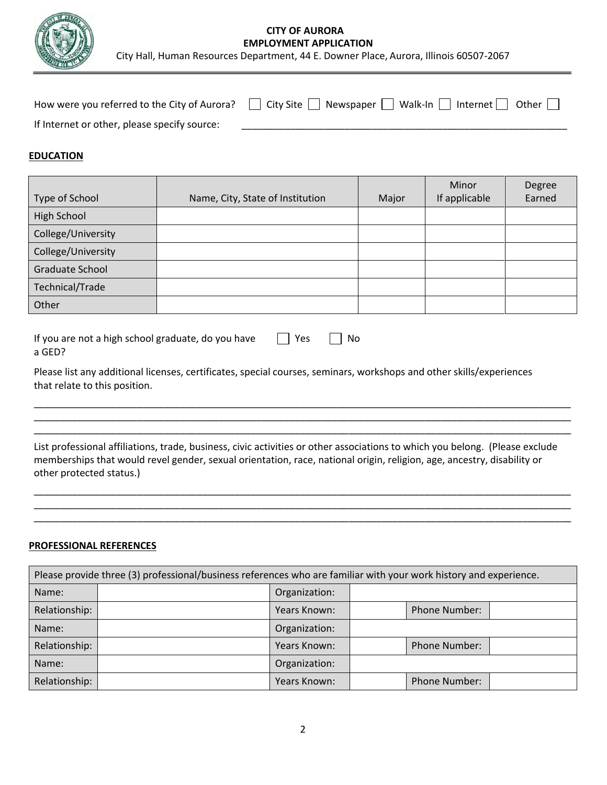

## **CITY OF AURORA EMPLOYMENT APPLICATION**

City Hall, Human Resources Department, 44 E. Downer Place, Aurora, Illinois 60507-2067

|                                              | How were you referred to the City of Aurora? $\Box$ City Site $\Box$ Newspaper $\Box$ Walk-In $\Box$ Internet $\Box$ Other $\Box$ |
|----------------------------------------------|-----------------------------------------------------------------------------------------------------------------------------------|
| If Internet or other, please specify source: |                                                                                                                                   |

### **EDUCATION**

| Type of School         | Name, City, State of Institution | Major | Minor<br>If applicable | Degree<br>Earned |
|------------------------|----------------------------------|-------|------------------------|------------------|
| High School            |                                  |       |                        |                  |
| College/University     |                                  |       |                        |                  |
| College/University     |                                  |       |                        |                  |
| <b>Graduate School</b> |                                  |       |                        |                  |
| Technical/Trade        |                                  |       |                        |                  |
| Other                  |                                  |       |                        |                  |

| If you are not a high school graduate, do you have | $\Box$ Yes |  |
|----------------------------------------------------|------------|--|
| a GED?                                             |            |  |

Please list any additional licenses, certificates, special courses, seminars, workshops and other skills/experiences that relate to this position.

List professional affiliations, trade, business, civic activities or other associations to which you belong. (Please exclude memberships that would revel gender, sexual orientation, race, national origin, religion, age, ancestry, disability or other protected status.)

\_\_\_\_\_\_\_\_\_\_\_\_\_\_\_\_\_\_\_\_\_\_\_\_\_\_\_\_\_\_\_\_\_\_\_\_\_\_\_\_\_\_\_\_\_\_\_\_\_\_\_\_\_\_\_\_\_\_\_\_\_\_\_\_\_\_\_\_\_\_\_\_\_\_\_\_\_\_\_\_\_\_\_\_\_\_\_\_\_\_\_\_\_\_\_\_\_\_\_ \_\_\_\_\_\_\_\_\_\_\_\_\_\_\_\_\_\_\_\_\_\_\_\_\_\_\_\_\_\_\_\_\_\_\_\_\_\_\_\_\_\_\_\_\_\_\_\_\_\_\_\_\_\_\_\_\_\_\_\_\_\_\_\_\_\_\_\_\_\_\_\_\_\_\_\_\_\_\_\_\_\_\_\_\_\_\_\_\_\_\_\_\_\_\_\_\_\_\_ \_\_\_\_\_\_\_\_\_\_\_\_\_\_\_\_\_\_\_\_\_\_\_\_\_\_\_\_\_\_\_\_\_\_\_\_\_\_\_\_\_\_\_\_\_\_\_\_\_\_\_\_\_\_\_\_\_\_\_\_\_\_\_\_\_\_\_\_\_\_\_\_\_\_\_\_\_\_\_\_\_\_\_\_\_\_\_\_\_\_\_\_\_\_\_\_\_\_\_

\_\_\_\_\_\_\_\_\_\_\_\_\_\_\_\_\_\_\_\_\_\_\_\_\_\_\_\_\_\_\_\_\_\_\_\_\_\_\_\_\_\_\_\_\_\_\_\_\_\_\_\_\_\_\_\_\_\_\_\_\_\_\_\_\_\_\_\_\_\_\_\_\_\_\_\_\_\_\_\_\_\_\_\_\_\_\_\_\_\_\_\_\_\_\_\_\_\_\_ \_\_\_\_\_\_\_\_\_\_\_\_\_\_\_\_\_\_\_\_\_\_\_\_\_\_\_\_\_\_\_\_\_\_\_\_\_\_\_\_\_\_\_\_\_\_\_\_\_\_\_\_\_\_\_\_\_\_\_\_\_\_\_\_\_\_\_\_\_\_\_\_\_\_\_\_\_\_\_\_\_\_\_\_\_\_\_\_\_\_\_\_\_\_\_\_\_\_\_ \_\_\_\_\_\_\_\_\_\_\_\_\_\_\_\_\_\_\_\_\_\_\_\_\_\_\_\_\_\_\_\_\_\_\_\_\_\_\_\_\_\_\_\_\_\_\_\_\_\_\_\_\_\_\_\_\_\_\_\_\_\_\_\_\_\_\_\_\_\_\_\_\_\_\_\_\_\_\_\_\_\_\_\_\_\_\_\_\_\_\_\_\_\_\_\_\_\_\_

#### **PROFESSIONAL REFERENCES**

| Please provide three (3) professional/business references who are familiar with your work history and experience. |  |               |  |                      |  |  |
|-------------------------------------------------------------------------------------------------------------------|--|---------------|--|----------------------|--|--|
| Name:                                                                                                             |  | Organization: |  |                      |  |  |
| Relationship:                                                                                                     |  | Years Known:  |  | <b>Phone Number:</b> |  |  |
| Name:                                                                                                             |  | Organization: |  |                      |  |  |
| Relationship:                                                                                                     |  | Years Known:  |  | <b>Phone Number:</b> |  |  |
| Name:                                                                                                             |  | Organization: |  |                      |  |  |
| Relationship:                                                                                                     |  | Years Known:  |  | <b>Phone Number:</b> |  |  |